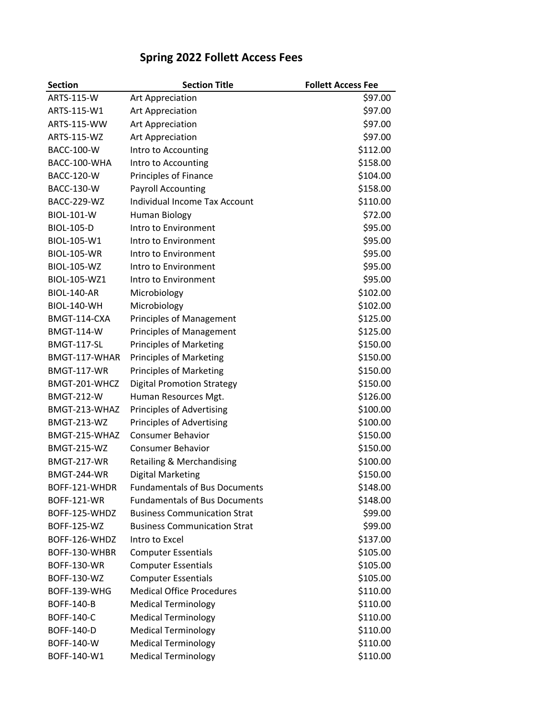| <b>Section</b>     | <b>Section Title</b>                 | <b>Follett Access Fee</b> |
|--------------------|--------------------------------------|---------------------------|
| ARTS-115-W         | Art Appreciation                     | \$97.00                   |
| ARTS-115-W1        | Art Appreciation                     | \$97.00                   |
| ARTS-115-WW        | Art Appreciation                     | \$97.00                   |
| <b>ARTS-115-WZ</b> | Art Appreciation                     | \$97.00                   |
| <b>BACC-100-W</b>  | Intro to Accounting                  | \$112.00                  |
| BACC-100-WHA       | Intro to Accounting                  | \$158.00                  |
| <b>BACC-120-W</b>  | Principles of Finance                | \$104.00                  |
| <b>BACC-130-W</b>  | <b>Payroll Accounting</b>            | \$158.00                  |
| <b>BACC-229-WZ</b> | <b>Individual Income Tax Account</b> | \$110.00                  |
| <b>BIOL-101-W</b>  | <b>Human Biology</b>                 | \$72.00                   |
| <b>BIOL-105-D</b>  | Intro to Environment                 | \$95.00                   |
| BIOL-105-W1        | Intro to Environment                 | \$95.00                   |
| <b>BIOL-105-WR</b> | Intro to Environment                 | \$95.00                   |
| <b>BIOL-105-WZ</b> | Intro to Environment                 | \$95.00                   |
| BIOL-105-WZ1       | Intro to Environment                 | \$95.00                   |
| <b>BIOL-140-AR</b> | Microbiology                         | \$102.00                  |
| <b>BIOL-140-WH</b> | Microbiology                         | \$102.00                  |
| BMGT-114-CXA       | Principles of Management             | \$125.00                  |
| <b>BMGT-114-W</b>  | <b>Principles of Management</b>      | \$125.00                  |
| <b>BMGT-117-SL</b> | <b>Principles of Marketing</b>       | \$150.00                  |
| BMGT-117-WHAR      | <b>Principles of Marketing</b>       | \$150.00                  |
| <b>BMGT-117-WR</b> | <b>Principles of Marketing</b>       | \$150.00                  |
| BMGT-201-WHCZ      | <b>Digital Promotion Strategy</b>    | \$150.00                  |
| <b>BMGT-212-W</b>  | Human Resources Mgt.                 | \$126.00                  |
| BMGT-213-WHAZ      | <b>Principles of Advertising</b>     | \$100.00                  |
| <b>BMGT-213-WZ</b> | Principles of Advertising            | \$100.00                  |
| BMGT-215-WHAZ      | <b>Consumer Behavior</b>             | \$150.00                  |
| <b>BMGT-215-WZ</b> | <b>Consumer Behavior</b>             | \$150.00                  |
| <b>BMGT-217-WR</b> | Retailing & Merchandising            | \$100.00                  |
| <b>BMGT-244-WR</b> | <b>Digital Marketing</b>             | \$150.00                  |
| BOFF-121-WHDR      | <b>Fundamentals of Bus Documents</b> | \$148.00                  |
| <b>BOFF-121-WR</b> | <b>Fundamentals of Bus Documents</b> | \$148.00                  |
| BOFF-125-WHDZ      | <b>Business Communication Strat</b>  | \$99.00                   |
| <b>BOFF-125-WZ</b> | <b>Business Communication Strat</b>  | \$99.00                   |
| BOFF-126-WHDZ      | Intro to Excel                       | \$137.00                  |
| BOFF-130-WHBR      | <b>Computer Essentials</b>           | \$105.00                  |
| <b>BOFF-130-WR</b> | <b>Computer Essentials</b>           | \$105.00                  |
| <b>BOFF-130-WZ</b> | <b>Computer Essentials</b>           | \$105.00                  |
| BOFF-139-WHG       | <b>Medical Office Procedures</b>     | \$110.00                  |
| <b>BOFF-140-B</b>  | <b>Medical Terminology</b>           | \$110.00                  |
| BOFF-140-C         | <b>Medical Terminology</b>           | \$110.00                  |
| <b>BOFF-140-D</b>  | <b>Medical Terminology</b>           | \$110.00                  |
| BOFF-140-W         | <b>Medical Terminology</b>           | \$110.00                  |
| BOFF-140-W1        | <b>Medical Terminology</b>           | \$110.00                  |

## **Spring 2022 Follett Access Fees**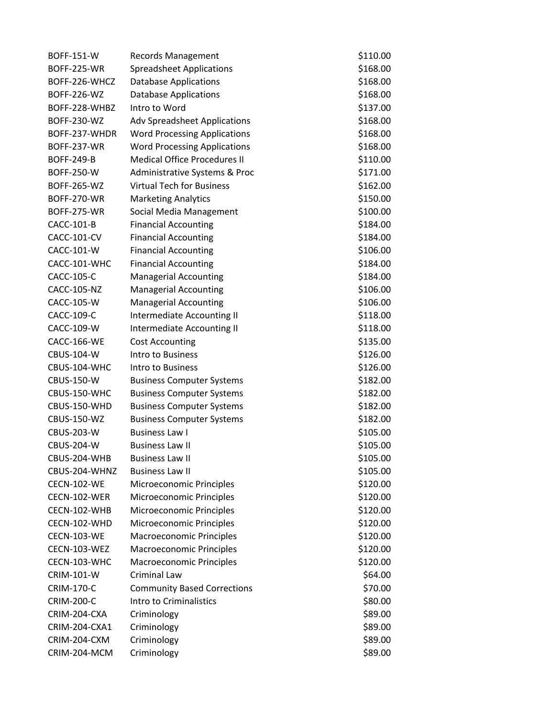| <b>BOFF-151-W</b>  | <b>Records Management</b>           | \$110.00 |
|--------------------|-------------------------------------|----------|
| <b>BOFF-225-WR</b> | <b>Spreadsheet Applications</b>     | \$168.00 |
| BOFF-226-WHCZ      | <b>Database Applications</b>        | \$168.00 |
| <b>BOFF-226-WZ</b> | <b>Database Applications</b>        | \$168.00 |
| BOFF-228-WHBZ      | Intro to Word                       | \$137.00 |
| <b>BOFF-230-WZ</b> | <b>Adv Spreadsheet Applications</b> | \$168.00 |
| BOFF-237-WHDR      | <b>Word Processing Applications</b> | \$168.00 |
| <b>BOFF-237-WR</b> | <b>Word Processing Applications</b> | \$168.00 |
| <b>BOFF-249-B</b>  | <b>Medical Office Procedures II</b> | \$110.00 |
| <b>BOFF-250-W</b>  | Administrative Systems & Proc       | \$171.00 |
| BOFF-265-WZ        | <b>Virtual Tech for Business</b>    | \$162.00 |
| <b>BOFF-270-WR</b> | <b>Marketing Analytics</b>          | \$150.00 |
| <b>BOFF-275-WR</b> | Social Media Management             | \$100.00 |
| CACC-101-B         | <b>Financial Accounting</b>         | \$184.00 |
| <b>CACC-101-CV</b> | <b>Financial Accounting</b>         | \$184.00 |
| CACC-101-W         | <b>Financial Accounting</b>         | \$106.00 |
| CACC-101-WHC       | <b>Financial Accounting</b>         | \$184.00 |
| CACC-105-C         | <b>Managerial Accounting</b>        | \$184.00 |
| <b>CACC-105-NZ</b> | <b>Managerial Accounting</b>        | \$106.00 |
| CACC-105-W         | <b>Managerial Accounting</b>        | \$106.00 |
| CACC-109-C         | Intermediate Accounting II          | \$118.00 |
| CACC-109-W         | Intermediate Accounting II          | \$118.00 |
| CACC-166-WE        | <b>Cost Accounting</b>              | \$135.00 |
| CBUS-104-W         | Intro to Business                   | \$126.00 |
| CBUS-104-WHC       | Intro to Business                   | \$126.00 |
| CBUS-150-W         | <b>Business Computer Systems</b>    | \$182.00 |
| CBUS-150-WHC       | <b>Business Computer Systems</b>    | \$182.00 |
| CBUS-150-WHD       | <b>Business Computer Systems</b>    | \$182.00 |
| <b>CBUS-150-WZ</b> | <b>Business Computer Systems</b>    | \$182.00 |
| <b>CBUS-203-W</b>  | <b>Business Law I</b>               | \$105.00 |
| <b>CBUS-204-W</b>  | <b>Business Law II</b>              | \$105.00 |
| CBUS-204-WHB       | <b>Business Law II</b>              | \$105.00 |
| CBUS-204-WHNZ      | <b>Business Law II</b>              | \$105.00 |
| <b>CECN-102-WE</b> | Microeconomic Principles            | \$120.00 |
| CECN-102-WER       | Microeconomic Principles            | \$120.00 |
| CECN-102-WHB       | Microeconomic Principles            | \$120.00 |
| CECN-102-WHD       | Microeconomic Principles            | \$120.00 |
| <b>CECN-103-WE</b> | Macroeconomic Principles            | \$120.00 |
| CECN-103-WEZ       | <b>Macroeconomic Principles</b>     | \$120.00 |
| CECN-103-WHC       | Macroeconomic Principles            | \$120.00 |
| <b>CRIM-101-W</b>  | Criminal Law                        | \$64.00  |
| <b>CRIM-170-C</b>  | <b>Community Based Corrections</b>  | \$70.00  |
| <b>CRIM-200-C</b>  | Intro to Criminalistics             | \$80.00  |
| CRIM-204-CXA       | Criminology                         | \$89.00  |
| CRIM-204-CXA1      | Criminology                         | \$89.00  |
| CRIM-204-CXM       | Criminology                         | \$89.00  |
| CRIM-204-MCM       | Criminology                         | \$89.00  |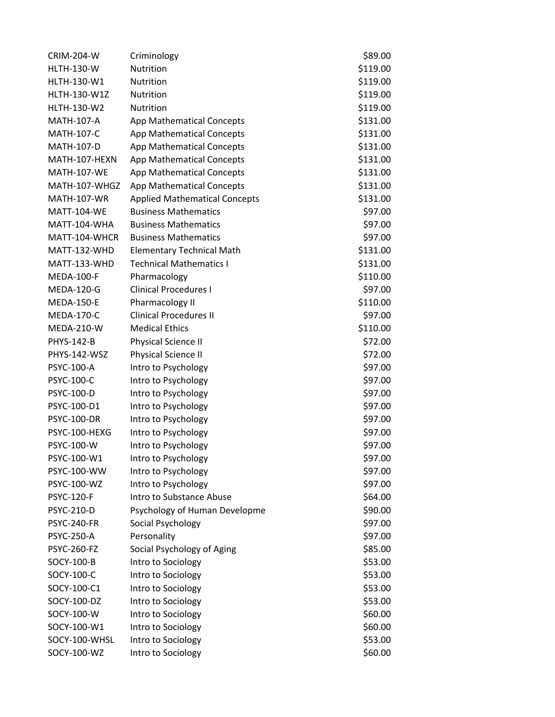| <b>CRIM-204-W</b>  | Criminology                          | \$89.00  |
|--------------------|--------------------------------------|----------|
| <b>HLTH-130-W</b>  | Nutrition                            | \$119.00 |
| HLTH-130-W1        | Nutrition                            | \$119.00 |
| HLTH-130-W1Z       | Nutrition                            | \$119.00 |
| HLTH-130-W2        | Nutrition                            | \$119.00 |
| <b>MATH-107-A</b>  | App Mathematical Concepts            | \$131.00 |
| MATH-107-C         | App Mathematical Concepts            | \$131.00 |
| <b>MATH-107-D</b>  | App Mathematical Concepts            | \$131.00 |
| MATH-107-HEXN      | App Mathematical Concepts            | \$131.00 |
| <b>MATH-107-WE</b> | <b>App Mathematical Concepts</b>     | \$131.00 |
| MATH-107-WHGZ      | App Mathematical Concepts            | \$131.00 |
| <b>MATH-107-WR</b> | <b>Applied Mathematical Concepts</b> | \$131.00 |
| <b>MATT-104-WE</b> | <b>Business Mathematics</b>          | \$97.00  |
| MATT-104-WHA       | <b>Business Mathematics</b>          | \$97.00  |
| MATT-104-WHCR      | <b>Business Mathematics</b>          | \$97.00  |
| MATT-132-WHD       | <b>Elementary Technical Math</b>     | \$131.00 |
| MATT-133-WHD       | <b>Technical Mathematics I</b>       | \$131.00 |
| <b>MEDA-100-F</b>  | Pharmacology                         | \$110.00 |
| <b>MEDA-120-G</b>  | <b>Clinical Procedures I</b>         | \$97.00  |
| <b>MEDA-150-E</b>  | Pharmacology II                      | \$110.00 |
| <b>MEDA-170-C</b>  | <b>Clinical Procedures II</b>        | \$97.00  |
| <b>MEDA-210-W</b>  | <b>Medical Ethics</b>                | \$110.00 |
| <b>PHYS-142-B</b>  | Physical Science II                  | \$72.00  |
| PHYS-142-WSZ       | Physical Science II                  | \$72.00  |
| PSYC-100-A         | Intro to Psychology                  | \$97.00  |
| PSYC-100-C         | Intro to Psychology                  | \$97.00  |
| PSYC-100-D         | Intro to Psychology                  | \$97.00  |
| PSYC-100-D1        | Intro to Psychology                  | \$97.00  |
| <b>PSYC-100-DR</b> | Intro to Psychology                  | \$97.00  |
| PSYC-100-HEXG      | Intro to Psychology                  | \$97.00  |
| PSYC-100-W         | Intro to Psychology                  | \$97.00  |
| PSYC-100-W1        | Intro to Psychology                  | \$97.00  |
| PSYC-100-WW        | Intro to Psychology                  | \$97.00  |
| PSYC-100-WZ        | Intro to Psychology                  | \$97.00  |
| <b>PSYC-120-F</b>  | Intro to Substance Abuse             | \$64.00  |
| PSYC-210-D         | Psychology of Human Developme        | \$90.00  |
| <b>PSYC-240-FR</b> | Social Psychology                    | \$97.00  |
| PSYC-250-A         | Personality                          | \$97.00  |
| <b>PSYC-260-FZ</b> | Social Psychology of Aging           | \$85.00  |
| SOCY-100-B         | Intro to Sociology                   | \$53.00  |
| SOCY-100-C         | Intro to Sociology                   | \$53.00  |
| SOCY-100-C1        | Intro to Sociology                   | \$53.00  |
| SOCY-100-DZ        | Intro to Sociology                   | \$53.00  |
| SOCY-100-W         | Intro to Sociology                   | \$60.00  |
| SOCY-100-W1        | Intro to Sociology                   | \$60.00  |
| SOCY-100-WHSL      | Intro to Sociology                   | \$53.00  |
| SOCY-100-WZ        | Intro to Sociology                   | \$60.00  |